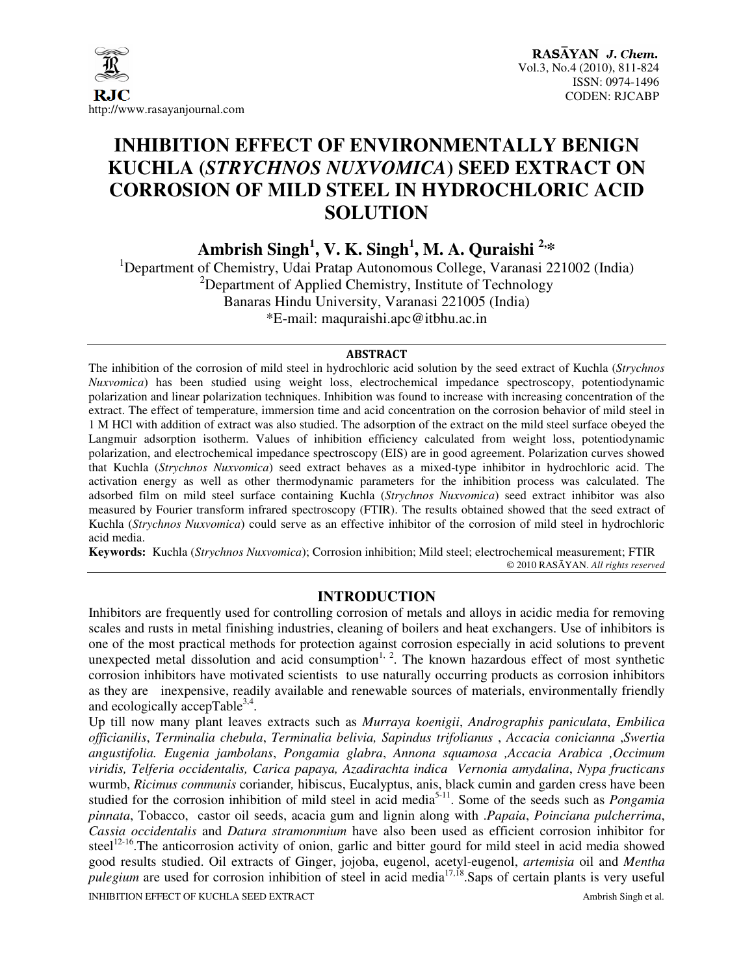

# **INHIBITION EFFECT OF ENVIRONMENTALLY BENIGN KUCHLA (***STRYCHNOS NUXVOMICA***) SEED EXTRACT ON CORROSION OF MILD STEEL IN HYDROCHLORIC ACID SOLUTION**

**Ambrish Singh<sup>1</sup> , V. K. Singh<sup>1</sup> , M. A. Quraishi 2,\*** 

<sup>1</sup>Department of Chemistry, Udai Pratap Autonomous College, Varanasi 221002 (India) <sup>2</sup>Department of Applied Chemistry, Institute of Technology Banaras Hindu University, Varanasi 221005 (India) \*E-mail: maquraishi.apc@itbhu.ac.in

#### ABSTRACT

The inhibition of the corrosion of mild steel in hydrochloric acid solution by the seed extract of Kuchla (*Strychnos Nuxvomica*) has been studied using weight loss, electrochemical impedance spectroscopy, potentiodynamic polarization and linear polarization techniques. Inhibition was found to increase with increasing concentration of the extract. The effect of temperature, immersion time and acid concentration on the corrosion behavior of mild steel in 1 M HCl with addition of extract was also studied. The adsorption of the extract on the mild steel surface obeyed the Langmuir adsorption isotherm. Values of inhibition efficiency calculated from weight loss, potentiodynamic polarization, and electrochemical impedance spectroscopy (EIS) are in good agreement. Polarization curves showed that Kuchla (*Strychnos Nuxvomica*) seed extract behaves as a mixed-type inhibitor in hydrochloric acid. The activation energy as well as other thermodynamic parameters for the inhibition process was calculated. The adsorbed film on mild steel surface containing Kuchla (*Strychnos Nuxvomica*) seed extract inhibitor was also measured by Fourier transform infrared spectroscopy (FTIR). The results obtained showed that the seed extract of Kuchla (*Strychnos Nuxvomica*) could serve as an effective inhibitor of the corrosion of mild steel in hydrochloric acid media.

**Keywords:**Kuchla (*Strychnos Nuxvomica*); Corrosion inhibition; Mild steel; electrochemical measurement; FTIR © 2010 RASĀYAN. *All rights reserved*

# **INTRODUCTION**

Inhibitors are frequently used for controlling corrosion of metals and alloys in acidic media for removing scales and rusts in metal finishing industries, cleaning of boilers and heat exchangers. Use of inhibitors is one of the most practical methods for protection against corrosion especially in acid solutions to prevent unexpected metal dissolution and acid consumption<sup>1, 2</sup>. The known hazardous effect of most synthetic corrosion inhibitors have motivated scientists to use naturally occurring products as corrosion inhibitors as they are inexpensive, readily available and renewable sources of materials, environmentally friendly and ecologically accepTable $3,4$ .

INHIBITION EFFECT OF KUCHLA SEED EXTRACT **Ambrish Singh et al.** Ambrish Singh et al. Up till now many plant leaves extracts such as *Murraya koenigii*, *Andrographis paniculata*, *Embilica officianilis*, *Terminalia chebula*, *Terminalia belivia, Sapindus trifolianus* , *Accacia conicianna* ,*Swertia angustifolia. Eugenia jambolans*, *Pongamia glabra*, *Annona squamosa ,Accacia Arabica ,Occimum viridis, Telferia occidentalis, Carica papaya, Azadirachta indica Vernonia amydalina*, *Nypa fructicans* wurmb, *Ricimus communis* coriander*,* hibiscus, Eucalyptus, anis, black cumin and garden cress have been studied for the corrosion inhibition of mild steel in acid media<sup>5-11</sup>. Some of the seeds such as *Pongamia pinnata*, Tobacco, castor oil seeds, acacia gum and lignin along with .*Papaia*, *Poinciana pulcherrima*, *Cassia occidentalis* and *Datura stramonmium* have also been used as efficient corrosion inhibitor for steel<sup>12-16</sup>. The anticorrosion activity of onion, garlic and bitter gourd for mild steel in acid media showed good results studied. Oil extracts of Ginger, jojoba, eugenol, acetyl-eugenol, *artemisia* oil and *Mentha pulegium* are used for corrosion inhibition of steel in acid media<sup>17,18</sup>. Saps of certain plants is very useful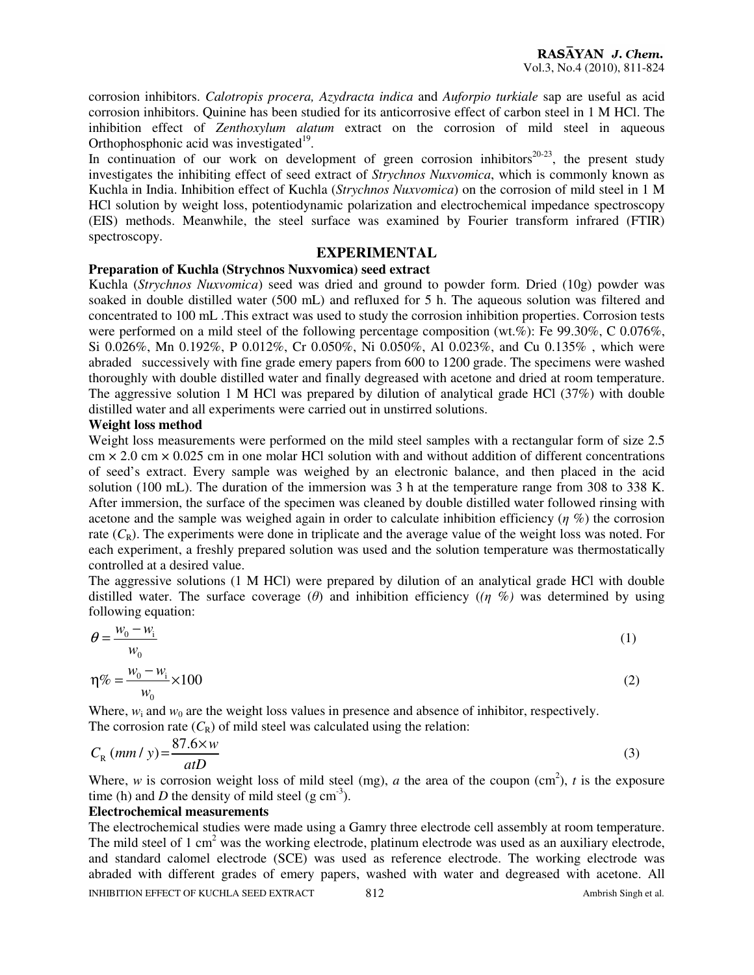corrosion inhibitors. *Calotropis procera, Azydracta indica* and *Auforpio turkiale* sap are useful as acid corrosion inhibitors. Quinine has been studied for its anticorrosive effect of carbon steel in 1 M HCl. The inhibition effect of *Zenthoxylum alatum* extract on the corrosion of mild steel in aqueous Orthophosphonic acid was investigated $19$ .

In continuation of our work on development of green corrosion inhibitors<sup>20-23</sup>, the present study investigates the inhibiting effect of seed extract of *Strychnos Nuxvomica*, which is commonly known as Kuchla in India. Inhibition effect of Kuchla (*Strychnos Nuxvomica*) on the corrosion of mild steel in 1 M HCl solution by weight loss, potentiodynamic polarization and electrochemical impedance spectroscopy (EIS) methods. Meanwhile, the steel surface was examined by Fourier transform infrared (FTIR) spectroscopy.

## **EXPERIMENTAL**

# **Preparation of Kuchla (Strychnos Nuxvomica) seed extract**

Kuchla (*Strychnos Nuxvomica*) seed was dried and ground to powder form. Dried (10g) powder was soaked in double distilled water (500 mL) and refluxed for 5 h. The aqueous solution was filtered and concentrated to 100 mL .This extract was used to study the corrosion inhibition properties. Corrosion tests were performed on a mild steel of the following percentage composition (wt.%): Fe 99.30%, C 0.076%, Si 0.026%, Mn 0.192%, P 0.012%, Cr 0.050%, Ni 0.050%, Al 0.023%, and Cu 0.135% , which were abraded successively with fine grade emery papers from 600 to 1200 grade. The specimens were washed thoroughly with double distilled water and finally degreased with acetone and dried at room temperature. The aggressive solution 1 M HCl was prepared by dilution of analytical grade HCl (37%) with double distilled water and all experiments were carried out in unstirred solutions.

## **Weight loss method**

Weight loss measurements were performed on the mild steel samples with a rectangular form of size 2.5  $\text{cm} \times 2.0 \text{ cm} \times 0.025 \text{ cm}$  in one molar HCl solution with and without addition of different concentrations of seed's extract. Every sample was weighed by an electronic balance, and then placed in the acid solution (100 mL). The duration of the immersion was 3 h at the temperature range from 308 to 338 K. After immersion, the surface of the specimen was cleaned by double distilled water followed rinsing with acetone and the sample was weighed again in order to calculate inhibition efficiency ( $\eta$ %) the corrosion rate  $(C_R)$ . The experiments were done in triplicate and the average value of the weight loss was noted. For each experiment, a freshly prepared solution was used and the solution temperature was thermostatically controlled at a desired value.

The aggressive solutions (1 M HCl) were prepared by dilution of an analytical grade HCl with double distilled water. The surface coverage (θ) and inhibition efficiency (*(*η %*)* was determined by using following equation:

$$
\theta = \frac{w_0 - w_i}{w_0} \tag{1}
$$

$$
\eta\% = \frac{w_0 - w_i}{w_0} \times 100
$$
 (2)

Where,  $w_i$  and  $w_0$  are the weight loss values in presence and absence of inhibitor, respectively. The corrosion rate  $(C_R)$  of mild steel was calculated using the relation:

$$
C_R \left( mm / y \right) = \frac{87.6 \times w}{atD} \tag{3}
$$

Where, *w* is corrosion weight loss of mild steel (mg), *a* the area of the coupon (cm<sup>2</sup>), *t* is the exposure time (h) and D the density of mild steel  $(g \text{ cm}^{-3})$ .

# **Electrochemical measurements**

INHIBITION EFFECT OF KUCHLA SEED EXTRACT 812 Ambrish Singh et al. The electrochemical studies were made using a Gamry three electrode cell assembly at room temperature. The mild steel of 1 cm<sup>2</sup> was the working electrode, platinum electrode was used as an auxiliary electrode, and standard calomel electrode (SCE) was used as reference electrode. The working electrode was abraded with different grades of emery papers, washed with water and degreased with acetone. All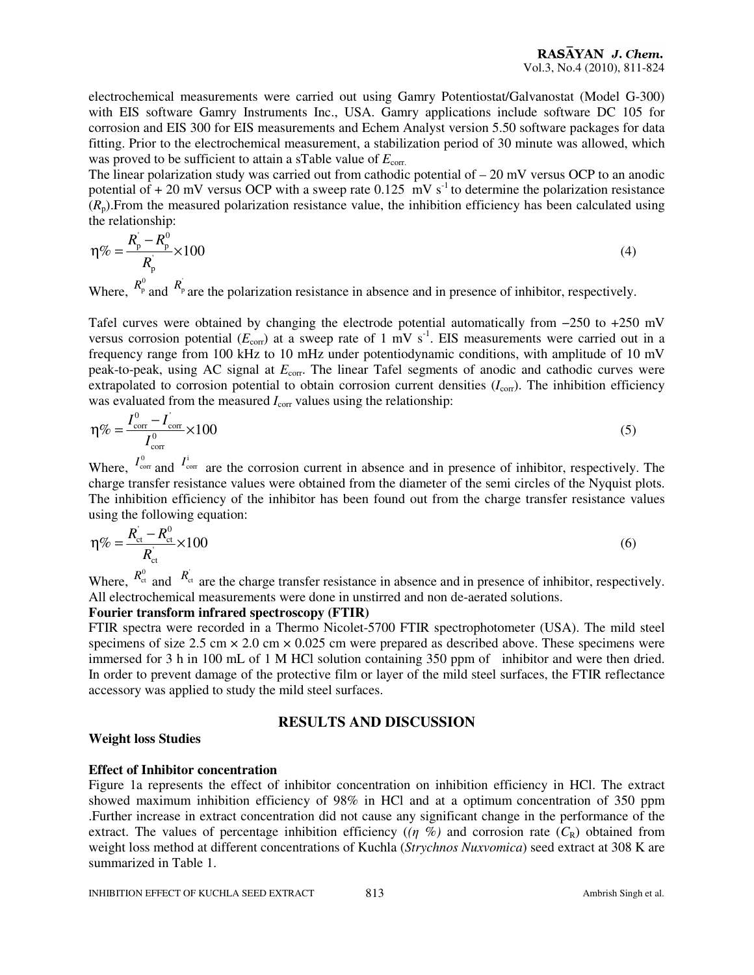electrochemical measurements were carried out using Gamry Potentiostat/Galvanostat (Model G-300) with EIS software Gamry Instruments Inc., USA. Gamry applications include software DC 105 for corrosion and EIS 300 for EIS measurements and Echem Analyst version 5.50 software packages for data fitting. Prior to the electrochemical measurement, a stabilization period of 30 minute was allowed, which was proved to be sufficient to attain a sTable value of  $E_{\text{corr}}$ .

The linear polarization study was carried out from cathodic potential of  $-20$  mV versus OCP to an anodic potential of  $+ 20$  mV versus OCP with a sweep rate 0.125 mV s<sup>-1</sup> to determine the polarization resistance  $(R_n)$ . From the measured polarization resistance value, the inhibition efficiency has been calculated using the relationship:

$$
\eta\% = \frac{R_{\rm p}^{\prime} - R_{\rm p}^0}{R_{\rm p}^{\prime}} \times 100
$$
\n(4)

Where,  $R_p^0$  and  $R_p^0$  are the polarization resistance in absence and in presence of inhibitor, respectively.

Tafel curves were obtained by changing the electrode potential automatically from −250 to +250 mV versus corrosion potential  $(E_{\text{corr}})$  at a sweep rate of 1 mV s<sup>-1</sup>. EIS measurements were carried out in a frequency range from 100 kHz to 10 mHz under potentiodynamic conditions, with amplitude of 10 mV peak-to-peak, using AC signal at  $E_{\text{corr}}$ . The linear Tafel segments of anodic and cathodic curves were extrapolated to corrosion potential to obtain corrosion current densities  $(I_{\text{corr}})$ . The inhibition efficiency was evaluated from the measured  $I_{\text{corr}}$  values using the relationship:

$$
\eta\% = \frac{I_{\text{corr}}^0 - I_{\text{corr}}}{I_{\text{corr}}^0} \times 100
$$
\n<sup>(5)</sup>

Where,  $I_{\text{corr}}^0$  and  $I_{\text{corr}}^i$  are the corrosion current in absence and in presence of inhibitor, respectively. The charge transfer resistance values were obtained from the diameter of the semi circles of the Nyquist plots. The inhibition efficiency of the inhibitor has been found out from the charge transfer resistance values using the following equation:

$$
\eta\% = \frac{R_{\rm ct} - R_{\rm ct}^0}{R_{\rm ct}^0} \times 100\tag{6}
$$

Where,  $R_{\text{ct}}^0$  and  $R_{\text{ct}}^0$  are the charge transfer resistance in absence and in presence of inhibitor, respectively. All electrochemical measurements were done in unstirred and non de-aerated solutions.

#### **Fourier transform infrared spectroscopy (FTIR)**

FTIR spectra were recorded in a Thermo Nicolet-5700 FTIR spectrophotometer (USA). The mild steel specimens of size 2.5 cm  $\times$  2.0 cm  $\times$  0.025 cm were prepared as described above. These specimens were immersed for 3 h in 100 mL of 1 M HCl solution containing 350 ppm of inhibitor and were then dried. In order to prevent damage of the protective film or layer of the mild steel surfaces, the FTIR reflectance accessory was applied to study the mild steel surfaces.

# **RESULTS AND DISCUSSION**

# **Weight loss Studies**

# **Effect of Inhibitor concentration**

Figure 1a represents the effect of inhibitor concentration on inhibition efficiency in HCl. The extract showed maximum inhibition efficiency of 98% in HCl and at a optimum concentration of 350 ppm .Further increase in extract concentration did not cause any significant change in the performance of the extract. The values of percentage inhibition efficiency ( $(\eta \%)$ ) and corrosion rate ( $C_R$ ) obtained from weight loss method at different concentrations of Kuchla (*Strychnos Nuxvomica*) seed extract at 308 K are summarized in Table 1.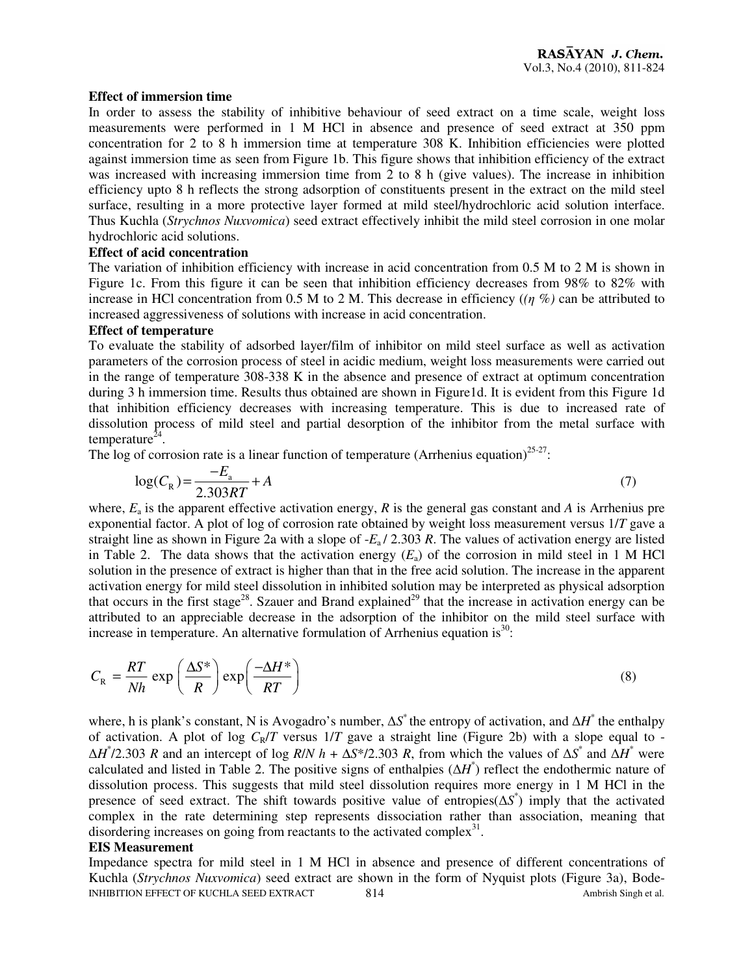#### **Effect of immersion time**

In order to assess the stability of inhibitive behaviour of seed extract on a time scale, weight loss measurements were performed in 1 M HCl in absence and presence of seed extract at 350 ppm concentration for 2 to 8 h immersion time at temperature 308 K. Inhibition efficiencies were plotted against immersion time as seen from Figure 1b. This figure shows that inhibition efficiency of the extract was increased with increasing immersion time from 2 to 8 h (give values). The increase in inhibition efficiency upto 8 h reflects the strong adsorption of constituents present in the extract on the mild steel surface, resulting in a more protective layer formed at mild steel/hydrochloric acid solution interface. Thus Kuchla (*Strychnos Nuxvomica*) seed extract effectively inhibit the mild steel corrosion in one molar hydrochloric acid solutions.

#### **Effect of acid concentration**

The variation of inhibition efficiency with increase in acid concentration from 0.5 M to 2 M is shown in Figure 1c. From this figure it can be seen that inhibition efficiency decreases from 98% to 82% with increase in HCl concentration from 0.5 M to 2 M. This decrease in efficiency (*(*η %*)* can be attributed to increased aggressiveness of solutions with increase in acid concentration.

## **Effect of temperature**

To evaluate the stability of adsorbed layer/film of inhibitor on mild steel surface as well as activation parameters of the corrosion process of steel in acidic medium, weight loss measurements were carried out in the range of temperature 308-338 K in the absence and presence of extract at optimum concentration during 3 h immersion time. Results thus obtained are shown in Figure1d. It is evident from this Figure 1d that inhibition efficiency decreases with increasing temperature. This is due to increased rate of dissolution process of mild steel and partial desorption of the inhibitor from the metal surface with temperature $^{24}$ .

The log of corrosion rate is a linear function of temperature (Arrhenius equation)<sup>25-27</sup>:

$$
\log(C_{\rm R}) = \frac{-E_{\rm a}}{2.303RT} + A\tag{7}
$$

where, *E*<sup>a</sup> is the apparent effective activation energy, *R* is the general gas constant and *A* is Arrhenius pre exponential factor. A plot of log of corrosion rate obtained by weight loss measurement versus 1/*T* gave a straight line as shown in Figure 2a with a slope of -*E*a / 2.303 *R*. The values of activation energy are listed in Table 2. The data shows that the activation energy  $(E_a)$  of the corrosion in mild steel in 1 M HCl solution in the presence of extract is higher than that in the free acid solution. The increase in the apparent activation energy for mild steel dissolution in inhibited solution may be interpreted as physical adsorption that occurs in the first stage<sup>28</sup>. Szauer and Brand explained<sup>29</sup> that the increase in activation energy can be attributed to an appreciable decrease in the adsorption of the inhibitor on the mild steel surface with increase in temperature. An alternative formulation of Arrhenius equation is<sup>30</sup>:

$$
C_{R} = \frac{RT}{Nh} \exp\left(\frac{\Delta S^*}{R}\right) \exp\left(\frac{-\Delta H^*}{RT}\right)
$$
\n(8)

where, h is plank's constant, N is Avogadro's number,  $\Delta S^*$  the entropy of activation, and  $\Delta H^*$  the enthalpy of activation. A plot of log  $C_R/T$  versus  $1/T$  gave a straight line (Figure 2b) with a slope equal to - $\Delta H^2/2.303$  *R* and an intercept of log *R*/*N h* +  $\Delta S^2/2.303$  *R*, from which the values of  $\Delta S^2$  and  $\Delta H^2$  were calculated and listed in Table 2. The positive signs of enthalpies  $(\Delta H^*)$  reflect the endothermic nature of dissolution process. This suggests that mild steel dissolution requires more energy in 1 M HCl in the presence of seed extract. The shift towards positive value of entropies(∆*S* \* ) imply that the activated complex in the rate determining step represents dissociation rather than association, meaning that disordering increases on going from reactants to the activated complex $31$ .

#### **EIS Measurement**

INHIBITION EFFECT OF KUCHLA SEED EXTRACT 814 Ambrish Singh et al. Impedance spectra for mild steel in 1 M HCl in absence and presence of different concentrations of Kuchla (*Strychnos Nuxvomica*) seed extract are shown in the form of Nyquist plots (Figure 3a), Bode-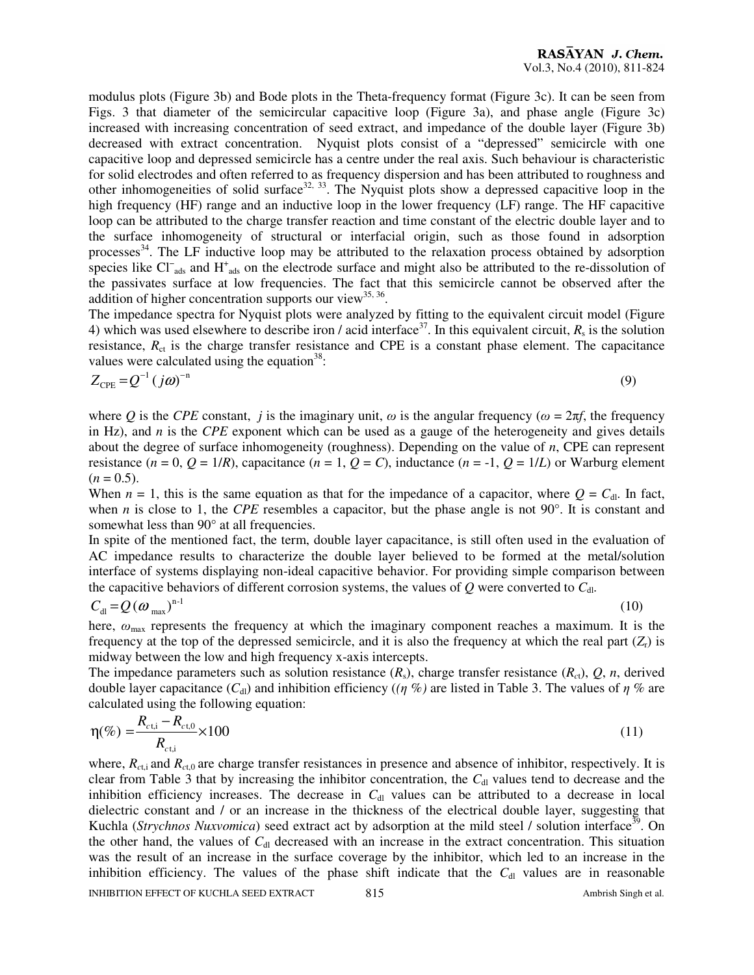modulus plots (Figure 3b) and Bode plots in the Theta-frequency format (Figure 3c). It can be seen from Figs. 3 that diameter of the semicircular capacitive loop (Figure 3a), and phase angle (Figure 3c) increased with increasing concentration of seed extract, and impedance of the double layer (Figure 3b) decreased with extract concentration. Nyquist plots consist of a "depressed" semicircle with one capacitive loop and depressed semicircle has a centre under the real axis. Such behaviour is characteristic for solid electrodes and often referred to as frequency dispersion and has been attributed to roughness and other inhomogeneities of solid surface<sup>32, 33</sup>. The Nyquist plots show a depressed capacitive loop in the high frequency (HF) range and an inductive loop in the lower frequency (LF) range. The HF capacitive loop can be attributed to the charge transfer reaction and time constant of the electric double layer and to the surface inhomogeneity of structural or interfacial origin, such as those found in adsorption processes<sup>34</sup>. The LF inductive loop may be attributed to the relaxation process obtained by adsorption species like Cl<sup>−</sup><sub>ads</sub> and H<sup>+</sup><sub>ads</sub> on the electrode surface and might also be attributed to the re-dissolution of the passivates surface at low frequencies. The fact that this semicircle cannot be observed after the addition of higher concentration supports our view<sup>35, 36</sup>.

The impedance spectra for Nyquist plots were analyzed by fitting to the equivalent circuit model (Figure 4) which was used elsewhere to describe iron / acid interface<sup>37</sup>. In this equivalent circuit,  $R_s$  is the solution resistance,  $R<sub>ct</sub>$  is the charge transfer resistance and CPE is a constant phase element. The capacitance values were calculated using the equation<sup>38</sup>:

$$
Z_{\rm CPE} = Q^{-1} \left( j\omega \right)^{-n} \tag{9}
$$

where *Q* is the *CPE* constant, *j* is the imaginary unit,  $\omega$  is the angular frequency ( $\omega = 2\pi f$ , the frequency in Hz), and *n* is the *CPE* exponent which can be used as a gauge of the heterogeneity and gives details about the degree of surface inhomogeneity (roughness). Depending on the value of *n*, CPE can represent resistance  $(n = 0, Q = 1/R)$ , capacitance  $(n = 1, Q = C)$ , inductance  $(n = -1, Q = 1/L)$  or Warburg element  $(n = 0.5)$ .

When  $n = 1$ , this is the same equation as that for the impedance of a capacitor, where  $Q = C<sub>dl</sub>$ . In fact, when *n* is close to 1, the *CPE* resembles a capacitor, but the phase angle is not 90°. It is constant and somewhat less than 90 $^{\circ}$  at all frequencies.

In spite of the mentioned fact, the term, double layer capacitance, is still often used in the evaluation of AC impedance results to characterize the double layer believed to be formed at the metal/solution interface of systems displaying non-ideal capacitive behavior. For providing simple comparison between the capacitive behaviors of different corrosion systems, the values of  $Q$  were converted to  $C_{\rm d}$ .

$$
C_{\rm dl} = Q \left( \omega_{\rm max} \right)^{n-1} \tag{10}
$$

here,  $\omega_{\text{max}}$  represents the frequency at which the imaginary component reaches a maximum. It is the frequency at the top of the depressed semicircle, and it is also the frequency at which the real part  $(Z_r)$  is midway between the low and high frequency x-axis intercepts.

The impedance parameters such as solution resistance  $(R_s)$ , charge transfer resistance  $(R_c)$ ,  $Q$ , *n*, derived double layer capacitance  $(C_{d})$  and inhibition efficiency  $((\eta \%)$  are listed in Table 3. The values of  $\eta \%$  are calculated using the following equation:

$$
\eta(\%) = \frac{R_{c\text{t,i}} - R_{c\text{t,0}}}{R_{c\text{t,i}}} \times 100 \tag{11}
$$

INHIBITION EFFECT OF KUCHLA SEED EXTRACT 815 815 Ambrish Singh et al. where,  $R_{c,t,i}$  and  $R_{c,t,0}$  are charge transfer resistances in presence and absence of inhibitor, respectively. It is clear from Table 3 that by increasing the inhibitor concentration, the C<sub>dl</sub> values tend to decrease and the inhibition efficiency increases. The decrease in *C*<sub>dl</sub> values can be attributed to a decrease in local dielectric constant and / or an increase in the thickness of the electrical double layer, suggesting that Kuchla (*Strychnos Nuxvomica*) seed extract act by adsorption at the mild steel / solution interface<sup>39</sup>. On the other hand, the values of  $C_{d}$  decreased with an increase in the extract concentration. This situation was the result of an increase in the surface coverage by the inhibitor, which led to an increase in the inhibition efficiency. The values of the phase shift indicate that the  $C<sub>dl</sub>$  values are in reasonable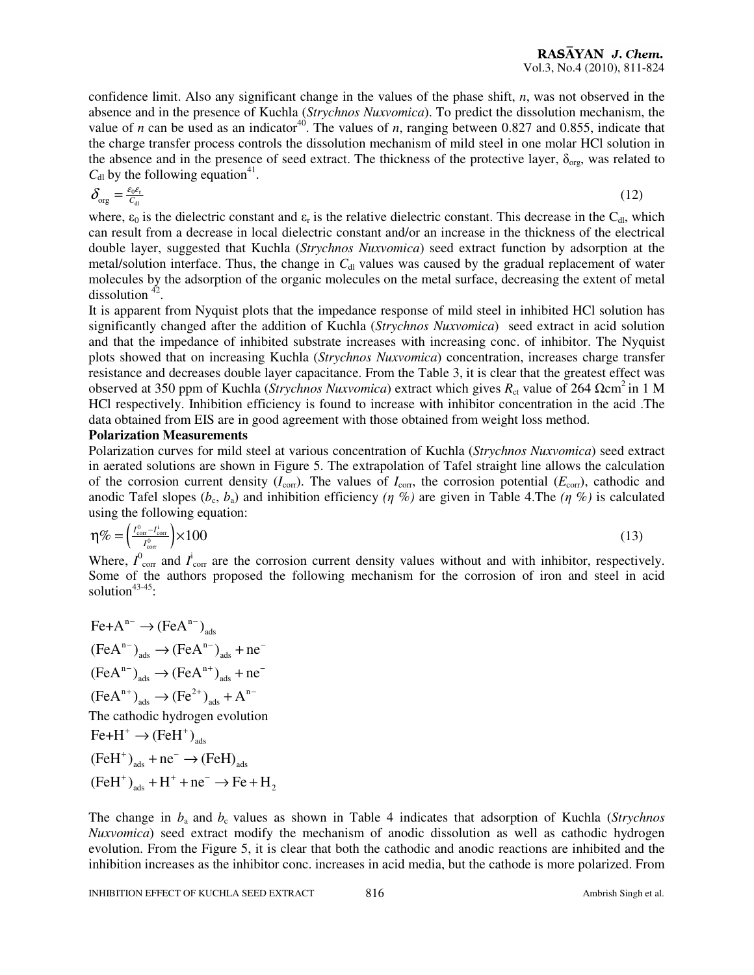confidence limit. Also any significant change in the values of the phase shift, *n*, was not observed in the absence and in the presence of Kuchla (*Strychnos Nuxvomica*). To predict the dissolution mechanism, the value of *n* can be used as an indicator<sup>40</sup>. The values of *n*, ranging between 0.827 and 0.855, indicate that the charge transfer process controls the dissolution mechanism of mild steel in one molar HCl solution in the absence and in the presence of seed extract. The thickness of the protective layer,  $\delta_{org}$ , was related to  $C_{\text{dl}}$  by the following equation<sup>41</sup>.

$$
\delta_{\text{org}} = \frac{\varepsilon_0 \varepsilon_r}{c_{\text{d}}} \tag{12}
$$

where,  $\varepsilon_0$  is the dielectric constant and  $\varepsilon_r$  is the relative dielectric constant. This decrease in the C<sub>dl</sub>, which can result from a decrease in local dielectric constant and/or an increase in the thickness of the electrical double layer, suggested that Kuchla (*Strychnos Nuxvomica*) seed extract function by adsorption at the metal/solution interface. Thus, the change in  $C<sub>dl</sub>$  values was caused by the gradual replacement of water molecules by the adsorption of the organic molecules on the metal surface, decreasing the extent of metal dissolution  $42$ .

It is apparent from Nyquist plots that the impedance response of mild steel in inhibited HCl solution has significantly changed after the addition of Kuchla (*Strychnos Nuxvomica*) seed extract in acid solution and that the impedance of inhibited substrate increases with increasing conc. of inhibitor. The Nyquist plots showed that on increasing Kuchla (*Strychnos Nuxvomica*) concentration, increases charge transfer resistance and decreases double layer capacitance. From the Table 3, it is clear that the greatest effect was observed at 350 ppm of Kuchla (*Strychnos Nuxvomica*) extract which gives *R*ct value of 264 Ωcm<sup>2</sup>in 1 M HCl respectively. Inhibition efficiency is found to increase with inhibitor concentration in the acid .The data obtained from EIS are in good agreement with those obtained from weight loss method.

#### **Polarization Measurements**

Polarization curves for mild steel at various concentration of Kuchla (*Strychnos Nuxvomica*) seed extract in aerated solutions are shown in Figure 5. The extrapolation of Tafel straight line allows the calculation of the corrosion current density  $(I_{\text{corr}})$ . The values of  $I_{\text{corr}}$ , the corrosion potential  $(E_{\text{corr}})$ , cathodic and anodic Tafel slopes  $(b_c, b_a)$  and inhibition efficiency  $(\eta, \%)$  are given in Table 4.The  $(\eta, \%)$  is calculated using the following equation:

$$
\eta\% = \left(\frac{I_{\text{corr}}^0 - I_{\text{corr}}^1}{I_{\text{corr}}^0}\right) \times 100\tag{13}
$$

Where,  $I^0_{\text{corr}}$  and  $I^i_{\text{corr}}$  are the corrosion current density values without and with inhibitor, respectively. Some of the authors proposed the following mechanism for the corrosion of iron and steel in acid solution<sup>43-45</sup>:

 $Fe+A^{n-} \rightarrow (FeA^{n-})_{ads}$  $(FeA^{n-})_{ads} \rightarrow (FeA^{n-})_{ads} + ne^{-}$  $(FeA^{n-})_{ads} \rightarrow (FeA^{n+})_{ads} + ne^{-}$  $(FeA^{n+})_{ads} \rightarrow (Fe^{2+})_{ads} + A^{n-}$ The cathodic hydrogen evolution  $Fe+H^+ \rightarrow (FeH^+)_{ads}$  $(FeH^+)_{ads}$  + ne<sup>-</sup>  $\rightarrow$   $(FeH)_{ads}$  $(FeH^+)$ <sub>ads</sub> +  $H^+$  + ne<sup>-</sup>  $\rightarrow$  Fe + H<sub>2</sub>

The change in  $b_a$  and  $b_c$  values as shown in Table 4 indicates that adsorption of Kuchla (*Strychnos Nuxvomica*) seed extract modify the mechanism of anodic dissolution as well as cathodic hydrogen evolution. From the Figure 5, it is clear that both the cathodic and anodic reactions are inhibited and the inhibition increases as the inhibitor conc. increases in acid media, but the cathode is more polarized. From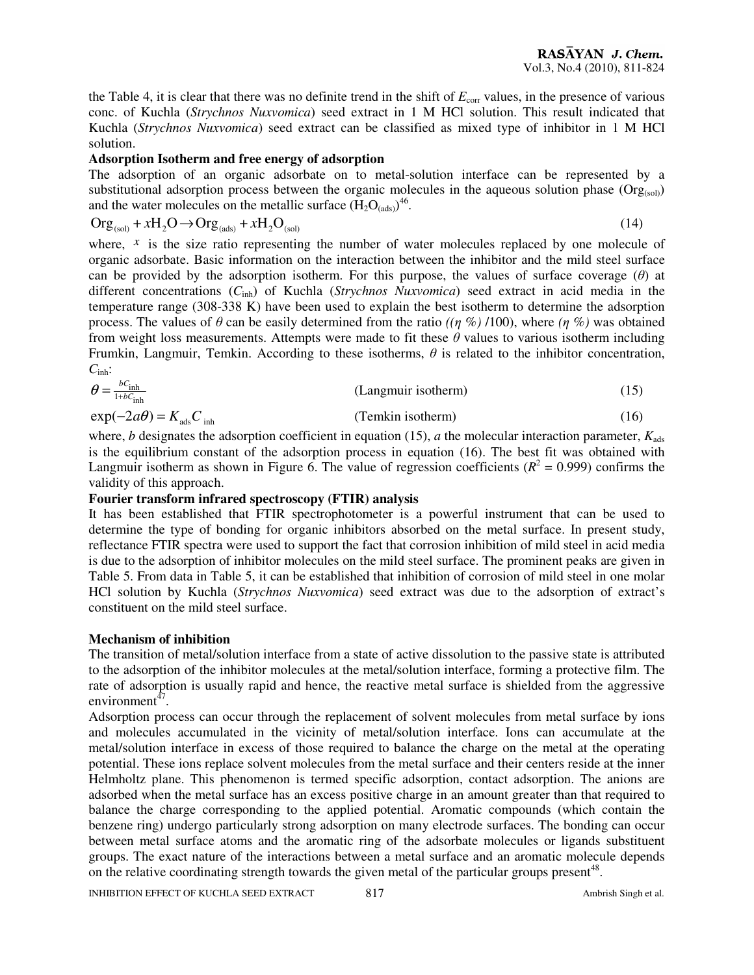the Table 4, it is clear that there was no definite trend in the shift of  $E_{\text{corr}}$  values, in the presence of various conc. of Kuchla (*Strychnos Nuxvomica*) seed extract in 1 M HCl solution. This result indicated that Kuchla (*Strychnos Nuxvomica*) seed extract can be classified as mixed type of inhibitor in 1 M HCl solution.

## **Adsorption Isotherm and free energy of adsorption**

The adsorption of an organic adsorbate on to metal-solution interface can be represented by a substitutional adsorption process between the organic molecules in the aqueous solution phase  $(Org_{(sol)})$ and the water molecules on the metallic surface  $(H_2O_{(ads)})^{46}$ .

$$
Org_{(sol)} + xH_2O \to Org_{(ads)} + xH_2O_{(sol)}
$$
\n(14)

where,  $\bar{x}$  is the size ratio representing the number of water molecules replaced by one molecule of organic adsorbate. Basic information on the interaction between the inhibitor and the mild steel surface can be provided by the adsorption isotherm. For this purpose, the values of surface coverage  $(\theta)$  at different concentrations (*C*inh) of Kuchla (*Strychnos Nuxvomica*) seed extract in acid media in the temperature range (308-338 K) have been used to explain the best isotherm to determine the adsorption process. The values of  $\theta$  can be easily determined from the ratio *((η %)* /100), where *(η %)* was obtained from weight loss measurements. Attempts were made to fit these  $\theta$  values to various isotherm including Frumkin, Langmuir, Temkin. According to these isotherms,  $\theta$  is related to the inhibitor concentration, *C*inh:

$$
\theta = \frac{bC_{\text{inh}}}{1 + bC_{\text{inh}}}
$$
 (Langmuir isotherm) (15)  
exp $(-2a\theta)$  =  $K_{\text{ads}}C_{\text{inh}}$  (Temkin isotherm)

where, *b* designates the adsorption coefficient in equation (15), *a* the molecular interaction parameter,  $K_{ads}$ is the equilibrium constant of the adsorption process in equation (16). The best fit was obtained with Langmuir isotherm as shown in Figure 6. The value of regression coefficients  $(R^2 = 0.999)$  confirms the validity of this approach.

#### **Fourier transform infrared spectroscopy (FTIR) analysis**

It has been established that FTIR spectrophotometer is a powerful instrument that can be used to determine the type of bonding for organic inhibitors absorbed on the metal surface. In present study, reflectance FTIR spectra were used to support the fact that corrosion inhibition of mild steel in acid media is due to the adsorption of inhibitor molecules on the mild steel surface. The prominent peaks are given in Table 5. From data in Table 5, it can be established that inhibition of corrosion of mild steel in one molar HCl solution by Kuchla (*Strychnos Nuxvomica*) seed extract was due to the adsorption of extract's constituent on the mild steel surface.

#### **Mechanism of inhibition**

The transition of metal/solution interface from a state of active dissolution to the passive state is attributed to the adsorption of the inhibitor molecules at the metal/solution interface, forming a protective film. The rate of adsorption is usually rapid and hence, the reactive metal surface is shielded from the aggressive environment $\frac{d}{dt}$ .

Adsorption process can occur through the replacement of solvent molecules from metal surface by ions and molecules accumulated in the vicinity of metal/solution interface. Ions can accumulate at the metal/solution interface in excess of those required to balance the charge on the metal at the operating potential. These ions replace solvent molecules from the metal surface and their centers reside at the inner Helmholtz plane. This phenomenon is termed specific adsorption, contact adsorption. The anions are adsorbed when the metal surface has an excess positive charge in an amount greater than that required to balance the charge corresponding to the applied potential. Aromatic compounds (which contain the benzene ring) undergo particularly strong adsorption on many electrode surfaces. The bonding can occur between metal surface atoms and the aromatic ring of the adsorbate molecules or ligands substituent groups. The exact nature of the interactions between a metal surface and an aromatic molecule depends on the relative coordinating strength towards the given metal of the particular groups present<sup>48</sup>.

INHIBITION EFFECT OF KUCHLA SEED EXTRACT 817 817 Ambrish Singh et al.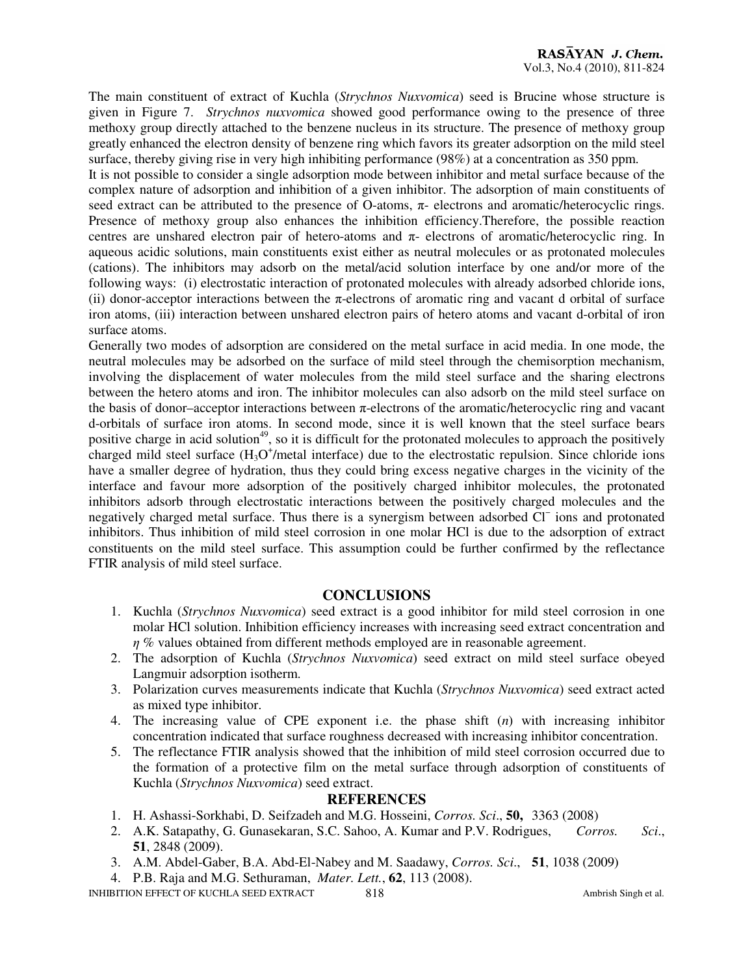The main constituent of extract of Kuchla (*Strychnos Nuxvomica*) seed is Brucine whose structure is given in Figure 7. *Strychnos nuxvomica* showed good performance owing to the presence of three methoxy group directly attached to the benzene nucleus in its structure. The presence of methoxy group greatly enhanced the electron density of benzene ring which favors its greater adsorption on the mild steel surface, thereby giving rise in very high inhibiting performance (98%) at a concentration as 350 ppm.

It is not possible to consider a single adsorption mode between inhibitor and metal surface because of the complex nature of adsorption and inhibition of a given inhibitor. The adsorption of main constituents of seed extract can be attributed to the presence of O-atoms, π- electrons and aromatic/heterocyclic rings. Presence of methoxy group also enhances the inhibition efficiency.Therefore, the possible reaction centres are unshared electron pair of hetero-atoms and  $\pi$ - electrons of aromatic/heterocyclic ring. In aqueous acidic solutions, main constituents exist either as neutral molecules or as protonated molecules (cations). The inhibitors may adsorb on the metal/acid solution interface by one and/or more of the following ways: (i) electrostatic interaction of protonated molecules with already adsorbed chloride ions, (ii) donor-acceptor interactions between the  $\pi$ -electrons of aromatic ring and vacant d orbital of surface iron atoms, (iii) interaction between unshared electron pairs of hetero atoms and vacant d-orbital of iron surface atoms.

Generally two modes of adsorption are considered on the metal surface in acid media. In one mode, the neutral molecules may be adsorbed on the surface of mild steel through the chemisorption mechanism, involving the displacement of water molecules from the mild steel surface and the sharing electrons between the hetero atoms and iron. The inhibitor molecules can also adsorb on the mild steel surface on the basis of donor–acceptor interactions between  $\pi$ -electrons of the aromatic/heterocyclic ring and vacant d-orbitals of surface iron atoms. In second mode, since it is well known that the steel surface bears positive charge in acid solution<sup>49</sup>, so it is difficult for the protonated molecules to approach the positively charged mild steel surface  $(H<sub>3</sub>O<sup>+</sup>/metal$  interface) due to the electrostatic repulsion. Since chloride ions have a smaller degree of hydration, thus they could bring excess negative charges in the vicinity of the interface and favour more adsorption of the positively charged inhibitor molecules, the protonated inhibitors adsorb through electrostatic interactions between the positively charged molecules and the negatively charged metal surface. Thus there is a synergism between adsorbed Cl<sup>−</sup> ions and protonated inhibitors. Thus inhibition of mild steel corrosion in one molar HCl is due to the adsorption of extract constituents on the mild steel surface. This assumption could be further confirmed by the reflectance FTIR analysis of mild steel surface.

#### **CONCLUSIONS**

- 1. Kuchla (*Strychnos Nuxvomica*) seed extract is a good inhibitor for mild steel corrosion in one molar HCl solution. Inhibition efficiency increases with increasing seed extract concentration and  $\eta$  % values obtained from different methods employed are in reasonable agreement.
- 2. The adsorption of Kuchla (*Strychnos Nuxvomica*) seed extract on mild steel surface obeyed Langmuir adsorption isotherm.
- 3. Polarization curves measurements indicate that Kuchla (*Strychnos Nuxvomica*) seed extract acted as mixed type inhibitor.
- 4. The increasing value of CPE exponent i.e. the phase shift (*n*) with increasing inhibitor concentration indicated that surface roughness decreased with increasing inhibitor concentration.
- 5. The reflectance FTIR analysis showed that the inhibition of mild steel corrosion occurred due to the formation of a protective film on the metal surface through adsorption of constituents of Kuchla (*Strychnos Nuxvomica*) seed extract.

# **REFERENCES**

- 1. H. Ashassi-Sorkhabi, D. Seifzadeh and M.G. Hosseini, *Corros. Sci*., **50,** 3363 (2008)
- 2. A.K. Satapathy, G. Gunasekaran, S.C. Sahoo, A. Kumar and P.V. Rodrigues, *Corros. Sci*., **51**, 2848 (2009).
- 3. A.M. Abdel-Gaber, B.A. Abd-El-Nabey and M. Saadawy, *Corros. Sci*., **51**, 1038 (2009)
- 4. P.B. Raja and M.G. Sethuraman, *Mater. Lett.*, **62**, 113 (2008).

INHIBITION EFFECT OF KUCHLA SEED EXTRACT 818 818 Ambrish Singh et al.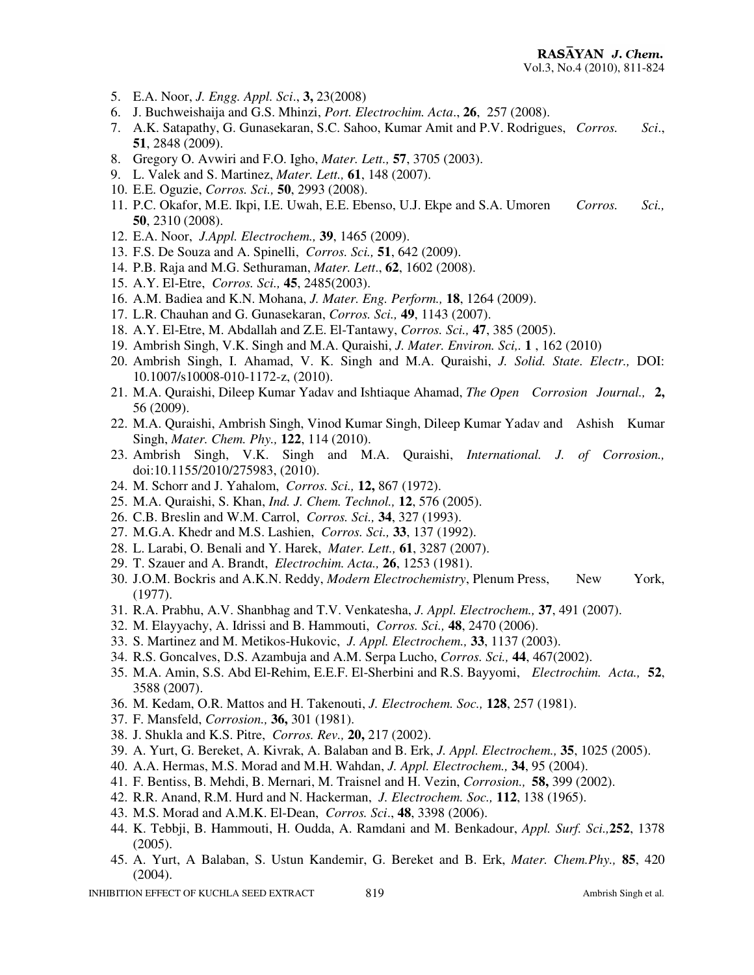- 5. E.A. Noor, *J. Engg. Appl. Sci*., **3,** 23(2008)
- 6. J. Buchweishaija and G.S. Mhinzi, *Port. Electrochim. Acta*., **26**, 257 (2008).
- 7. A.K. Satapathy, G. Gunasekaran, S.C. Sahoo, Kumar Amit and P.V. Rodrigues, *Corros. Sci*., **51**, 2848 (2009).
- 8. Gregory O. Avwiri and F.O. Igho, *Mater. Lett.,* **57**, 3705 (2003).
- 9. L. Valek and S. Martinez, *Mater. Lett.,* **61**, 148 (2007).
- 10. E.E. Oguzie, *Corros. Sci.,* **50**, 2993 (2008).
- 11. P.C. Okafor, M.E. Ikpi, I.E. Uwah, E.E. Ebenso, U.J. Ekpe and S.A. Umoren *Corros. Sci.,* **50**, 2310 (2008).
- 12. E.A. Noor, *J.Appl. Electrochem.,* **39**, 1465 (2009).
- 13. F.S. De Souza and A. Spinelli, *Corros. Sci.,* **51**, 642 (2009).
- 14. P.B. Raja and M.G. Sethuraman, *Mater. Lett*., **62**, 1602 (2008).
- 15. A.Y. El-Etre, *Corros. Sci.,* **45**, 2485(2003).
- 16. A.M. Badiea and K.N. Mohana, *J. Mater. Eng. Perform.,* **18**, 1264 (2009).
- 17. L.R. Chauhan and G. Gunasekaran, *Corros. Sci.,* **49**, 1143 (2007).
- 18. A.Y. El-Etre, M. Abdallah and Z.E. El-Tantawy, *Corros. Sci.,* **47**, 385 (2005).
- 19. Ambrish Singh, V.K. Singh and M.A. Quraishi, *J. Mater. Environ. Sci,.* **1** , 162 (2010)
- 20. Ambrish Singh, I. Ahamad, V. K. Singh and M.A. Quraishi, *J. Solid. State. Electr.,* DOI: 10.1007/s10008-010-1172-z, (2010).
- 21. M.A. Quraishi, Dileep Kumar Yadav and Ishtiaque Ahamad, *The Open Corrosion Journal.,* **2,** 56 (2009).
- 22. M.A. Quraishi, Ambrish Singh, Vinod Kumar Singh, Dileep Kumar Yadav and Ashish Kumar Singh, *Mater. Chem. Phy.,* **122**, 114 (2010).
- 23. Ambrish Singh, V.K. Singh and M.A. Quraishi, *International. J. of Corrosion.,* doi:10.1155/2010/275983, (2010).
- 24. M. Schorr and J. Yahalom, *Corros. Sci.,* **12,** 867 (1972).
- 25. M.A. Quraishi, S. Khan, *Ind. J. Chem. Technol.,* **12**, 576 (2005).
- 26. C.B. Breslin and W.M. Carrol, *Corros. Sci.,* **34**, 327 (1993).
- 27. M.G.A. Khedr and M.S. Lashien, *Corros. Sci.,* **33**, 137 (1992).
- 28. L. Larabi, O. Benali and Y. Harek, *Mater. Lett.,* **61**, 3287 (2007).
- 29. T. Szauer and A. Brandt, *Electrochim. Acta.,* **26**, 1253 (1981).
- 30. J.O.M. Bockris and A.K.N. Reddy, *Modern Electrochemistry*, Plenum Press, New York, (1977).
- 31. R.A. Prabhu, A.V. Shanbhag and T.V. Venkatesha, *J. Appl. Electrochem.,* **37**, 491 (2007).
- 32. M. Elayyachy, A. Idrissi and B. Hammouti, *Corros. Sci.,* **48**, 2470 (2006).
- 33. S. Martinez and M. Metikos-Hukovic, *J. Appl. Electrochem.,* **33**, 1137 (2003).
- 34. R.S. Goncalves, D.S. Azambuja and A.M. Serpa Lucho, *Corros. Sci.,* **44**, 467(2002).
- 35. M.A. Amin, S.S. Abd El-Rehim, E.E.F. El-Sherbini and R.S. Bayyomi, *Electrochim. Acta.,* **52**, 3588 (2007).
- 36. M. Kedam, O.R. Mattos and H. Takenouti, *J. Electrochem. Soc.,* **128**, 257 (1981).
- 37. F. Mansfeld, *Corrosion.,* **36,** 301 (1981).
- 38. J. Shukla and K.S. Pitre, *Corros. Rev.,* **20,** 217 (2002).
- 39. A. Yurt, G. Bereket, A. Kivrak, A. Balaban and B. Erk, *J. Appl. Electrochem.,* **35**, 1025 (2005).
- 40. A.A. Hermas, M.S. Morad and M.H. Wahdan, *J. Appl. Electrochem.,* **34**, 95 (2004).
- 41. F. Bentiss, B. Mehdi, B. Mernari, M. Traisnel and H. Vezin, *Corrosion.,* **58,** 399 (2002).
- 42. R.R. Anand, R.M. Hurd and N. Hackerman, *J. Electrochem. Soc.,* **112**, 138 (1965).
- 43. M.S. Morad and A.M.K. El-Dean, *Corros. Sci*., **48**, 3398 (2006).
- 44. K. Tebbji, B. Hammouti, H. Oudda, A. Ramdani and M. Benkadour, *Appl. Surf. Sci.,***252**, 1378 (2005).
- 45. A. Yurt, A Balaban, S. Ustun Kandemir, G. Bereket and B. Erk, *Mater. Chem.Phy.,* **85**, 420 (2004).

INHIBITION EFFECT OF KUCHLA SEED EXTRACT 819 819 Ambrish Singh et al.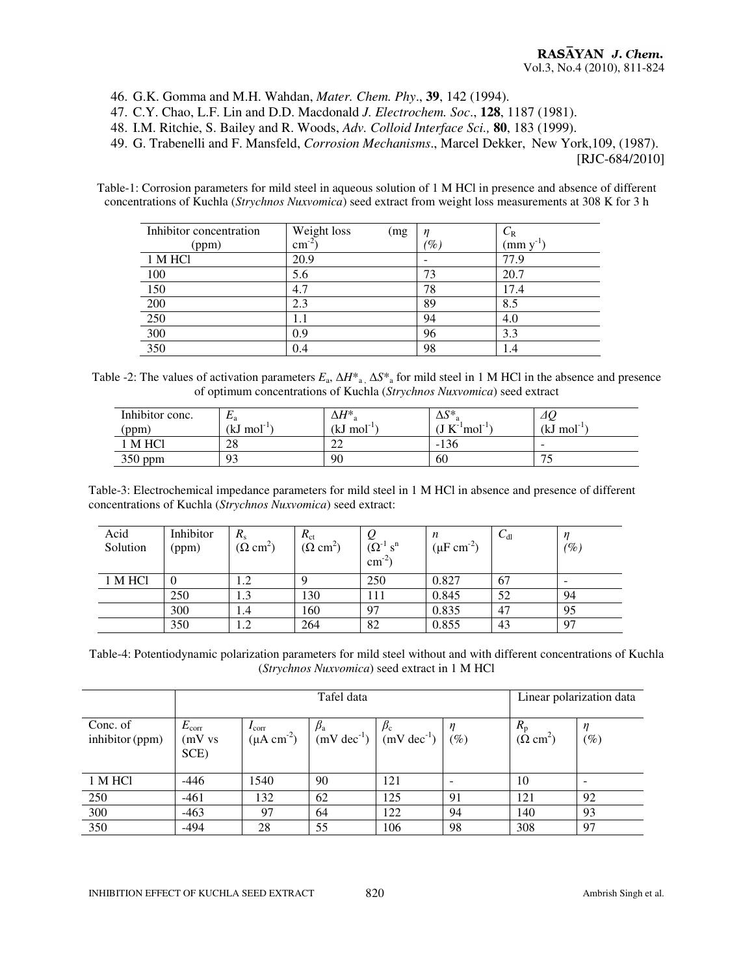46. G.K. Gomma and M.H. Wahdan, *Mater. Chem. Phy*., **39**, 142 (1994).

- 47. C.Y. Chao, L.F. Lin and D.D. Macdonald *J. Electrochem. Soc*., **128**, 1187 (1981).
- 48. I.M. Ritchie, S. Bailey and R. Woods, *Adv. Colloid Interface Sci.,* **80**, 183 (1999).
- 49. G. Trabenelli and F. Mansfeld, *Corrosion Mechanisms*., Marcel Dekker, New York,109, (1987).

[RJC-684/2010]

Table-1: Corrosion parameters for mild steel in aqueous solution of 1 M HCl in presence and absence of different concentrations of Kuchla (*Strychnos Nuxvomica*) seed extract from weight loss measurements at 308 K for 3 h

| Inhibitor concentration | Weight loss<br>(mg | n     | $C_{\rm R}$ |
|-------------------------|--------------------|-------|-------------|
| (ppm)                   | $\text{cm}^{-2}$   | $\%)$ | (mm y       |
| 1 M HCl                 | 20.9               |       | 77.9        |
| 100                     | 5.6                | 73    | 20.7        |
| 150                     | 4.7                | 78    | 17.4        |
| 200                     | 2.3                | 89    | 8.5         |
| 250                     | 1.1                | 94    | 4.0         |
| 300                     | 0.9                | 96    | 3.3         |
| 350                     | 0.4                | 98    | 1.4         |

Table -2: The values of activation parameters  $E_a$ ,  $\Delta H^*$ <sub>a</sub>,  $\Delta S^*$ <sub>a</sub> for mild steel in 1 M HCl in the absence and presence of optimum concentrations of Kuchla (*Strychnos Nuxvomica*) seed extract

| Inhibitor conc. | ட்டி          | $\lrcorner H^*$ | $\Delta S^*$                        | $\varDelta Q$                   |
|-----------------|---------------|-----------------|-------------------------------------|---------------------------------|
| (ppm)           | $(kJ \mod 1)$ | $(kJ \mod 1)$   | $\rm J~K^-$<br>$\mod$ <sup>-1</sup> | $(kJ \mod 1)$                   |
| M HCl           | 28            | ∠∠              | $1^{\prime}$<br>-130                | $\overline{\phantom{a}}$        |
| 350 ppm         | 93            | 90              | 60                                  | $\overline{\phantom{0}}$<br>- 1 |

Table-3: Electrochemical impedance parameters for mild steel in 1 M HCl in absence and presence of different concentrations of Kuchla (*Strychnos Nuxvomica*) seed extract:

| Acid<br>Solution | Inhibitor<br>(ppm) | $R_{\rm s}$<br>$(\Omega \text{ cm}^2)$ | $R_{\text{ct}}$<br>( $\Omega$ cm <sup>2</sup> ) | $(\Omega^{-1} s^n)$<br>$\text{cm}^{-2}$ | n<br>$(\mu F cm^{-2})$ | $C_{d1}$ | $(\%)$                   |
|------------------|--------------------|----------------------------------------|-------------------------------------------------|-----------------------------------------|------------------------|----------|--------------------------|
| 1 M HCl          |                    | 1.2                                    |                                                 | 250                                     | 0.827                  | 67       | $\overline{\phantom{0}}$ |
|                  | 250                | 1.3                                    | 130                                             | 111                                     | 0.845                  | 52       | 94                       |
|                  | 300                | 1.4                                    | 160                                             | 97                                      | 0.835                  | 47       | 95                       |
|                  | 350                | 1.2                                    | 264                                             | 82                                      | 0.855                  | 43       | 97                       |

Table-4: Potentiodynamic polarization parameters for mild steel without and with different concentrations of Kuchla (*Strychnos Nuxvomica*) seed extract in 1 M HCl

|                             | Tafel data                       |                                             |                             |                                  | Linear polarization data |                                        |                  |
|-----------------------------|----------------------------------|---------------------------------------------|-----------------------------|----------------------------------|--------------------------|----------------------------------------|------------------|
| Conc. of<br>inhibitor (ppm) | $E_{\rm corr}$<br>(mV vs<br>SCE) | $I_{\rm corr}$<br>$(\mu A \text{ cm}^{-2})$ | $p_{\rm a}$<br>$(mV dec-1)$ | $p_c$<br>$(mV \text{ dec}^{-1})$ | $(\%)$                   | $R_{\rm p}$<br>$(\Omega \text{ cm}^2)$ | $\eta$<br>$(\%)$ |
| 1 M HCl                     | $-446$                           | 1540                                        | 90                          | 121                              |                          | 10                                     |                  |
| 250                         | $-461$                           | 132                                         | 62                          | 125                              | 91                       | 121                                    | 92               |
| 300                         | $-463$                           | 97                                          | 64                          | 122                              | 94                       | 140                                    | 93               |
| 350                         | $-494$                           | 28                                          | 55                          | 106                              | 98                       | 308                                    | 97               |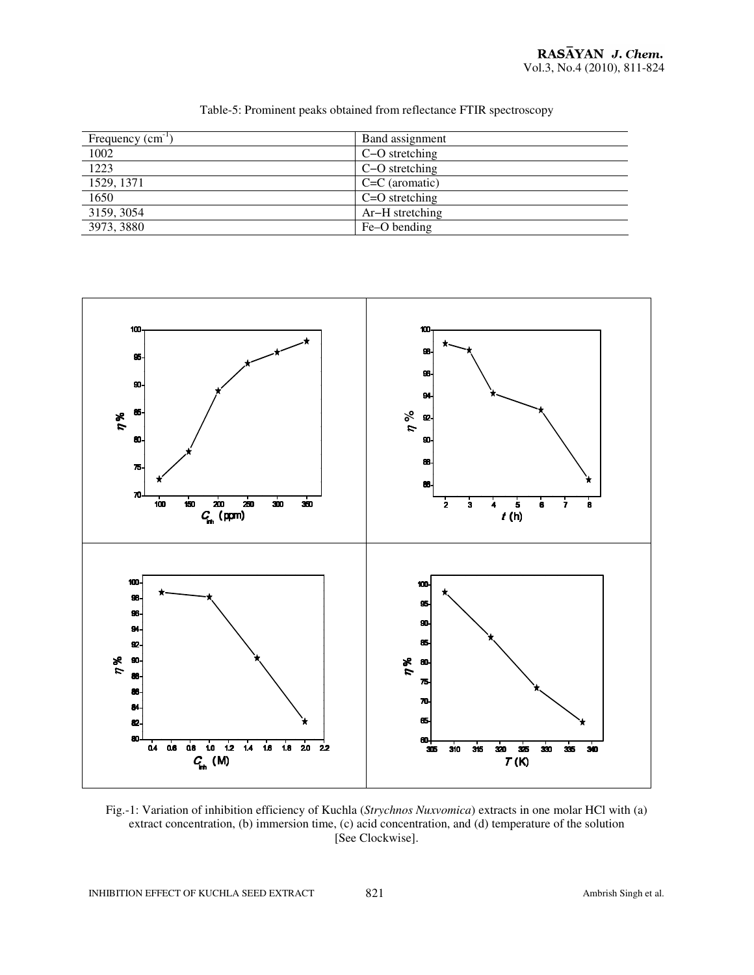| Frequency $(cm-1)$ | Band assignment  |
|--------------------|------------------|
| 1002               | C-O stretching   |
| 1223               | C-O stretching   |
| 1529, 1371         | $C=C$ (aromatic) |
| 1650               | $C=O$ stretching |
| 3159, 3054         | Ar-H stretching  |
| 3973, 3880         | Fe-O bending     |

Table-5: Prominent peaks obtained from reflectance FTIR spectroscopy



Fig.-1: Variation of inhibition efficiency of Kuchla (*Strychnos Nuxvomica*) extracts in one molar HCl with (a) extract concentration, (b) immersion time, (c) acid concentration, and (d) temperature of the solution [See Clockwise].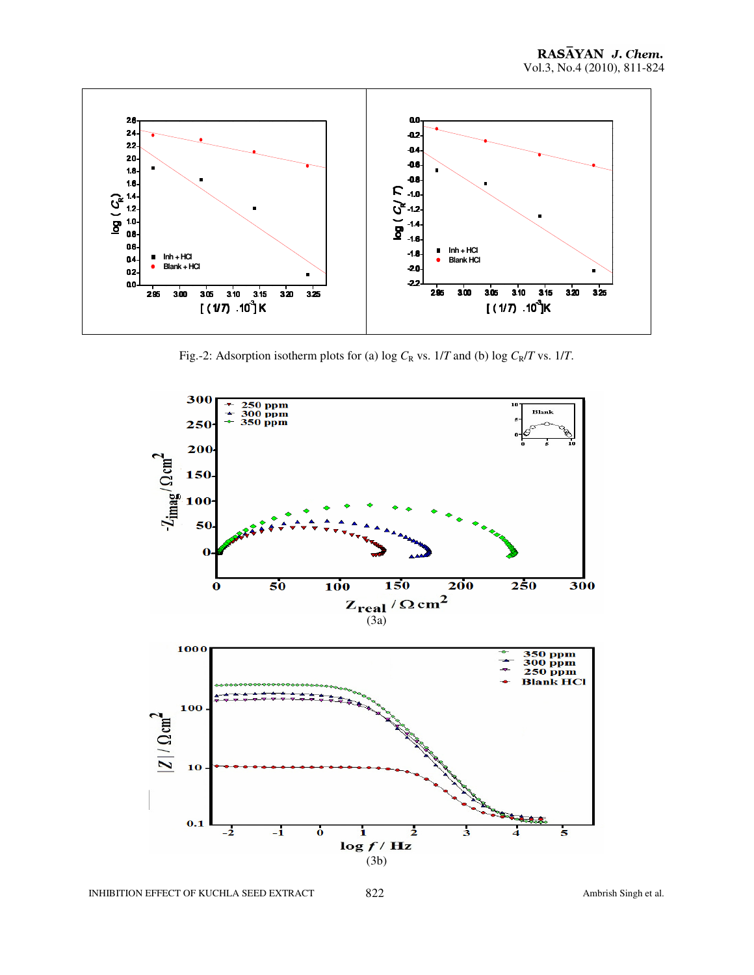

Fig.-2: Adsorption isotherm plots for (a) log  $C_R$  vs.  $1/T$  and (b) log  $C_R/T$  vs.  $1/T$ .

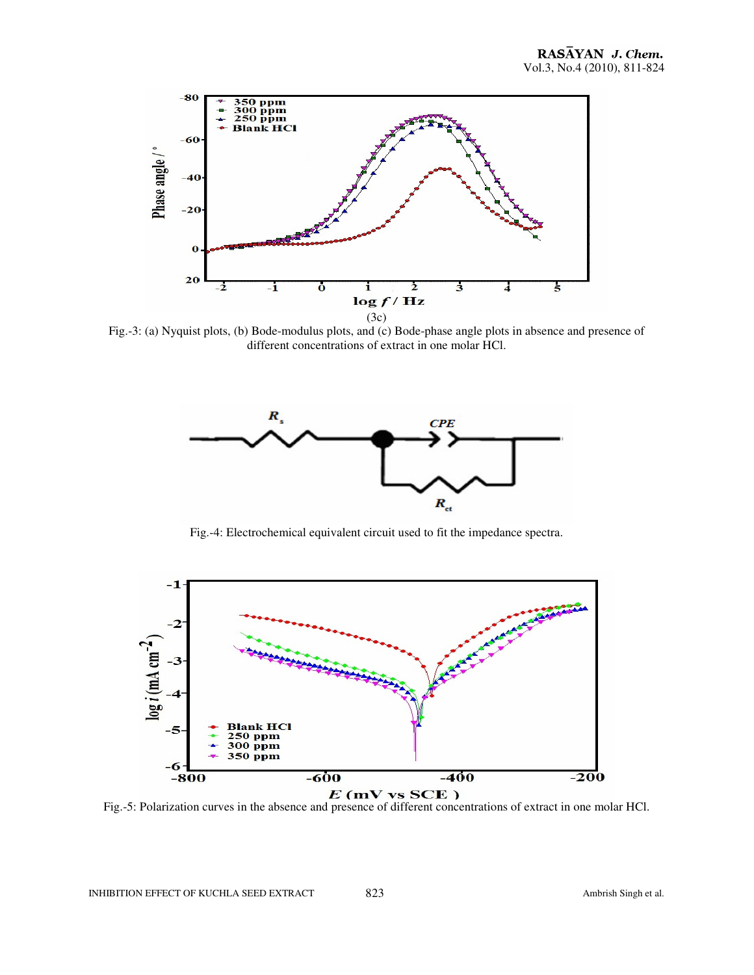

Fig.-3: (a) Nyquist plots, (b) Bode-modulus plots, and (c) Bode-phase angle plots in absence and presence of different concentrations of extract in one molar HCl.



Fig.-4: Electrochemical equivalent circuit used to fit the impedance spectra.



Fig.-5: Polarization curves in the absence and presence of different concentrations of extract in one molar HCl.